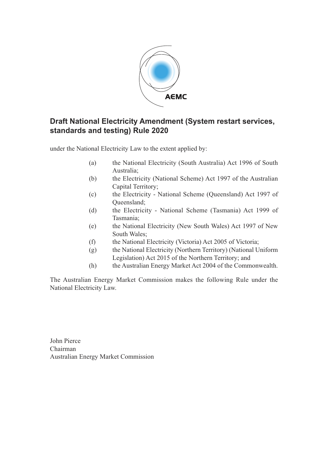

# **Draft National Electricity Amendment (System restart services, standards and testing) Rule 2020**

under the National Electricity Law to the extent applied by:

- (a) the National Electricity (South Australia) Act 1996 of South Australia;
- (b) the Electricity (National Scheme) Act 1997 of the Australian Capital Territory;
- (c) the Electricity National Scheme (Queensland) Act 1997 of Queensland;
- (d) the Electricity National Scheme (Tasmania) Act 1999 of Tasmania;
- (e) the National Electricity (New South Wales) Act 1997 of New South Wales;
- (f) the National Electricity (Victoria) Act 2005 of Victoria;
- (g) the National Electricity (Northern Territory) (National Uniform Legislation) Act 2015 of the Northern Territory; and
- (h) the Australian Energy Market Act 2004 of the Commonwealth.

The Australian Energy Market Commission makes the following Rule under the National Electricity Law.

John Pierce Chairman Australian Energy Market Commission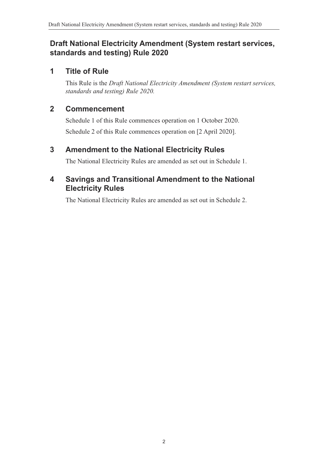## **Draft National Electricity Amendment (System restart services, standards and testing) Rule 2020**

## **1 Title of Rule**

This Rule is the *Draft National Electricity Amendment (System restart services, standards and testing) Rule 2020.*

## **2 Commencement**

Schedule 1 of this Rule commences operation on 1 October 2020. Schedule 2 of this Rule commences operation on [2 April 2020].

## **3 Amendment to the National Electricity Rules**

<span id="page-1-0"></span>The National Electricity Rules are amended as set out in [Schedule 1.](#page-2-0)

## **4 Savings and Transitional Amendment to the National Electricity Rules**

<span id="page-1-1"></span>The National Electricity Rules are amended as set out in [Schedule 2.](#page-10-0)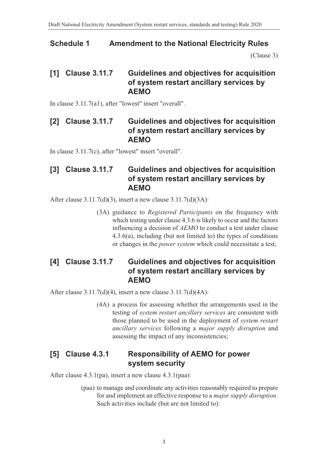# **Schedule 1 Amendment to the National Electricity Rules**

<span id="page-2-0"></span>[\(Clause 3\)](#page-1-0)

## **[1] Clause 3.11.7 Guidelines and objectives for acquisition of system restart ancillary services by AEMO**

In clause 3.11.7(a1), after "lowest" insert "overall".

## **[2] Clause 3.11.7 Guidelines and objectives for acquisition of system restart ancillary services by AEMO**

In clause 3.11.7(c), after "lowest" insert "overall".

# **[3] Clause 3.11.7 Guidelines and objectives for acquisition of system restart ancillary services by AEMO**

After clause 3.11.7(d)(3), insert a new clause 3.11.7(d)(3A):

(3A) guidance to *Registered Participants* on the frequency with which testing under clause 4.3.6 is likely to occur and the factors influencing a decision of *AEMO* to conduct a test under clause 4.3.6(a), including (but not limited to) the types of conditions or changes in the *power system* which could necessitate a test;

## **[4] Clause 3.11.7 Guidelines and objectives for acquisition of system restart ancillary services by AEMO**

After clause 3.11.7(d)(4), insert a new clause 3.11.7(d)(4A):

(4A) a process for assessing whether the arrangements used in the testing of *system restart ancillary services* are consistent with those planned to be used in the deployment of *system restart ancillary services* following a *major supply disruption* and assessing the impact of any inconsistencies;

# **[5] Clause 4.3.1 Responsibility of AEMO for power system security**

After clause 4.3.1(pa), insert a new clause 4.3.1(paa):

(paa) to manage and coordinate any activities reasonably required to prepare for and implement an effective response to a *major supply disruption*. Such activities include (but are not limited to):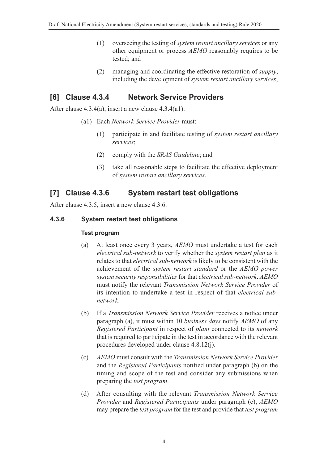- (1) overseeing the testing of *system restart ancillary services* or any other equipment or process *AEMO* reasonably requires to be tested; and
- (2) managing and coordinating the effective restoration of *supply*, including the development of *system restart ancillary services*;

## **[6] Clause 4.3.4 Network Service Providers**

After clause 4.3.4(a), insert a new clause 4.3.4(a1):

- (a1) Each *Network Service Provider* must:
	- (1) participate in and facilitate testing of *system restart ancillary services*;
	- (2) comply with the *SRAS Guideline*; and
	- (3) take all reasonable steps to facilitate the effective deployment of *system restart ancillary services*.

# **[7] Clause 4.3.6 System restart test obligations**

After clause 4.3.5, insert a new clause 4.3.6:

## **4.3.6 System restart test obligations**

#### **Test program**

- (a) At least once every 3 years, *AEMO* must undertake a test for each *electrical sub-network* to verify whether the *system restart plan* as it relates to that *electrical sub-network* is likely to be consistent with the achievement of the *system restart standard* or the *AEMO power system security responsibilities* for that *electrical sub-network*. *AEMO* must notify the relevant *Transmission Network Service Provider* of its intention to undertake a test in respect of that *electrical subnetwork*.
- (b) If a *Transmission Network Service Provider* receives a notice under paragraph (a), it must within 10 *business days* notify *AEMO* of any *Registered Participant* in respect of *plant* connected to its *network* that is required to participate in the test in accordance with the relevant procedures developed under clause 4.8.12(j).
- (c) *AEMO* must consult with the *Transmission Network Service Provider* and the *Registered Participants* notified under paragraph (b) on the timing and scope of the test and consider any submissions when preparing the *test program*.
- (d) After consulting with the relevant *Transmission Network Service Provider* and *Registered Participants* under paragraph (c), *AEMO* may prepare the *test program* for the test and provide that *test program*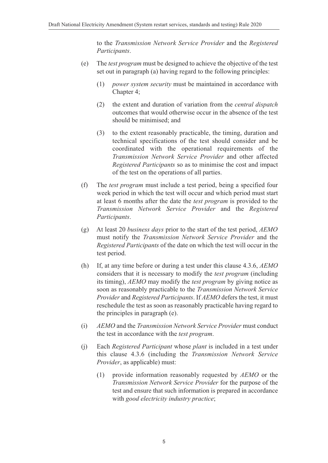to the *Transmission Network Service Provider* and the *Registered Participants*.

- (e) The *test program* must be designed to achieve the objective of the test set out in paragraph (a) having regard to the following principles:
	- (1) *power system security* must be maintained in accordance with Chapter 4;
	- (2) the extent and duration of variation from the *central dispatch* outcomes that would otherwise occur in the absence of the test should be minimised; and
	- (3) to the extent reasonably practicable, the timing, duration and technical specifications of the test should consider and be coordinated with the operational requirements of the *Transmission Network Service Provider* and other affected *Registered Participants* so as to minimise the cost and impact of the test on the operations of all parties.
- (f) The *test program* must include a test period, being a specified four week period in which the test will occur and which period must start at least 6 months after the date the *test program* is provided to the *Transmission Network Service Provider* and the *Registered Participants*.
- (g) At least 20 *business days* prior to the start of the test period, *AEMO* must notify the *Transmission Network Service Provider* and the *Registered Participants* of the date on which the test will occur in the test period.
- (h) If, at any time before or during a test under this clause 4.3.6, *AEMO* considers that it is necessary to modify the *test program* (including its timing), *AEMO* may modify the *test program* by giving notice as soon as reasonably practicable to the *Transmission Network Service Provider* and *Registered Participants*. If *AEMO* defers the test, it must reschedule the test as soon as reasonably practicable having regard to the principles in paragraph (e).
- (i) *AEMO* and the *Transmission Network Service Provider* must conduct the test in accordance with the *test program*.
- (j) Each *Registered Participant* whose *plant* is included in a test under this clause 4.3.6 (including the *Transmission Network Service Provider*, as applicable) must:
	- (1) provide information reasonably requested by *AEMO* or the *Transmission Network Service Provider* for the purpose of the test and ensure that such information is prepared in accordance with *good electricity industry practice*;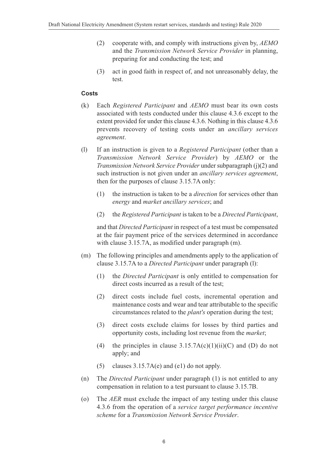- (2) cooperate with, and comply with instructions given by, *AEMO* and the *Transmission Network Service Provider* in planning, preparing for and conducting the test; and
- (3) act in good faith in respect of, and not unreasonably delay, the test.

#### **Costs**

- (k) Each *Registered Participant* and *AEMO* must bear its own costs associated with tests conducted under this clause 4.3.6 except to the extent provided for under this clause 4.3.6. Nothing in this clause 4.3.6 prevents recovery of testing costs under an *ancillary services agreement*.
- (l) If an instruction is given to a *Registered Participant* (other than a *Transmission Network Service Provider*) by *AEMO* or the *Transmission Network Service Provider* under subparagraph (j)(2) and such instruction is not given under an *ancillary services agreement*, then for the purposes of clause 3.15.7A only:
	- (1) the instruction is taken to be a *direction* for services other than *energy* and *market ancillary services*; and
	- (2) the *Registered Participant* is taken to be a *Directed Participant*,

and that *Directed Participant* in respect of a test must be compensated at the fair payment price of the services determined in accordance with clause 3.15.7A, as modified under paragraph (m).

- (m) The following principles and amendments apply to the application of clause 3.15.7A to a *Directed Participant* under paragraph (l):
	- (1) the *Directed Participant* is only entitled to compensation for direct costs incurred as a result of the test;
	- (2) direct costs include fuel costs, incremental operation and maintenance costs and wear and tear attributable to the specific circumstances related to the *plant's* operation during the test;
	- (3) direct costs exclude claims for losses by third parties and opportunity costs, including lost revenue from the *market*;
	- (4) the principles in clause  $3.15.7A(c)(1)(ii)(C)$  and (D) do not apply; and
	- (5) clauses 3.15.7A(e) and (e1) do not apply.
- (n) The *Directed Participant* under paragraph (1) is not entitled to any compensation in relation to a test pursuant to clause 3.15.7B.
- (o) The *AER* must exclude the impact of any testing under this clause 4.3.6 from the operation of a *service target performance incentive scheme* for a *Transmission Network Service Provider*.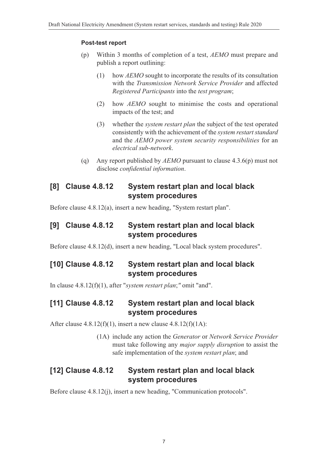#### **Post-test report**

- (p) Within 3 months of completion of a test, *AEMO* must prepare and publish a report outlining:
	- (1) how *AEMO* sought to incorporate the results of its consultation with the *Transmission Network Service Provider* and affected *Registered Participants* into the *test program*;
	- (2) how *AEMO* sought to minimise the costs and operational impacts of the test; and
	- (3) whether the *system restart plan* the subject of the test operated consistently with the achievement of the *system restart standard* and the *AEMO power system security responsibilities* for an *electrical sub-network*.
- (q) Any report published by *AEMO* pursuant to clause 4.3.6(p) must not disclose *confidential information*.

## **[8] Clause 4.8.12 System restart plan and local black system procedures**

Before clause 4.8.12(a), insert a new heading, "System restart plan".

## **[9] Clause 4.8.12 System restart plan and local black system procedures**

Before clause 4.8.12(d), insert a new heading, "Local black system procedures".

## **[10] Clause 4.8.12 System restart plan and local black system procedures**

In clause 4.8.12(f)(1), after "*system restart plan*;*"* omit "and".

## **[11] Clause 4.8.12 System restart plan and local black system procedures**

After clause  $4.8.12(f)(1)$ , insert a new clause  $4.8.12(f)(1A)$ :

(1A) include any action the *Generator* or *Network Service Provider* must take following any *major supply disruption* to assist the safe implementation of the *system restart plan*; and

## **[12] Clause 4.8.12 System restart plan and local black system procedures**

Before clause 4.8.12(j), insert a new heading, "Communication protocols".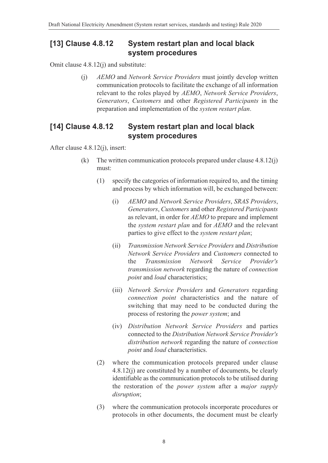## **[13] Clause 4.8.12 System restart plan and local black system procedures**

Omit clause 4.8.12(j) and substitute:

(j) *AEMO* and *Network Service Providers* must jointly develop written communication protocols to facilitate the exchange of all information relevant to the roles played by *AEMO*, *Network Service Providers*, *Generators*, *Customers* and other *Registered Participants* in the preparation and implementation of the *system restart plan*.

## **[14] Clause 4.8.12 System restart plan and local black system procedures**

After clause 4.8.12(j), insert:

- (k) The written communication protocols prepared under clause 4.8.12(j) must:
	- (1) specify the categories of information required to, and the timing and process by which information will, be exchanged between:
		- (i) *AEMO* and *Network Service Providers*, *SRAS Providers*, *Generators*, *Customers* and other *Registered Participants* as relevant, in order for *AEMO* to prepare and implement the *system restart plan* and for *AEMO* and the relevant parties to give effect to the *system restart plan*;
		- (ii) *Transmission Network Service Providers* and *Distribution Network Service Providers* and *Customers* connected to the *Transmission Network Service Provider's transmission network* regarding the nature of *connection point* and *load* characteristics;
		- (iii) *Network Service Providers* and *Generators* regarding *connection point* characteristics and the nature of switching that may need to be conducted during the process of restoring the *power system*; and
		- (iv) *Distribution Network Service Providers* and parties connected to the *Distribution Network Service Provider's distribution network* regarding the nature of *connection point* and *load* characteristics.
	- (2) where the communication protocols prepared under clause 4.8.12(j) are constituted by a number of documents, be clearly identifiable as the communication protocols to be utilised during the restoration of the *power system* after a *major supply disruption*;
	- (3) where the communication protocols incorporate procedures or protocols in other documents, the document must be clearly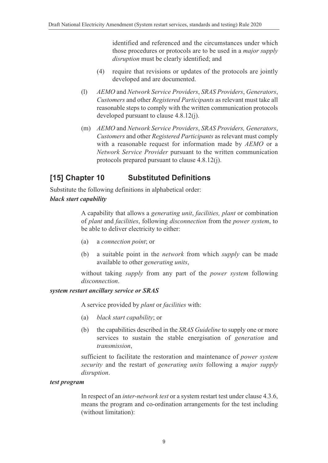identified and referenced and the circumstances under which those procedures or protocols are to be used in a *major supply disruption* must be clearly identified; and

- (4) require that revisions or updates of the protocols are jointly developed and are documented.
- (l) *AEMO* and *Network Service Providers*, *SRAS Providers*, *Generators*, *Customers* and other *Registered Participants* as relevant must take all reasonable steps to comply with the written communication protocols developed pursuant to clause 4.8.12(j).
- (m) *AEMO* and *Network Service Providers*, *SRAS Providers, Generators*, *Customers* and other *Registered Participants* as relevant must comply with a reasonable request for information made by *AEMO* or a *Network Service Provider* pursuant to the written communication protocols prepared pursuant to clause 4.8.12(j).

## **[15] Chapter 10 Substituted Definitions**

Substitute the following definitions in alphabetical order:

#### *black start capability*

A capability that allows a *generating unit*, *facilities, plant* or combination of *plant* and *facilities*, following *disconnection* from the *power system*, to be able to deliver electricity to either:

- (a) a *connection point*; or
- (b) a suitable point in the *network* from which *supply* can be made available to other *generating units*,

without taking *supply* from any part of the *power system* following *disconnection*.

#### *system restart ancillary service or SRAS*

A service provided by *plant* or *facilities* with:

- (a) *black start capability*; or
- (b) the capabilities described in the *SRAS Guideline* to supply one or more services to sustain the stable energisation of *generation* and *transmission*,

sufficient to facilitate the restoration and maintenance of *power system security* and the restart of *generating units* following a *major supply disruption*.

# *test program*

In respect of an *inter-network test* or a system restart test under clause 4.3.6, means the program and co-ordination arrangements for the test including (without limitation):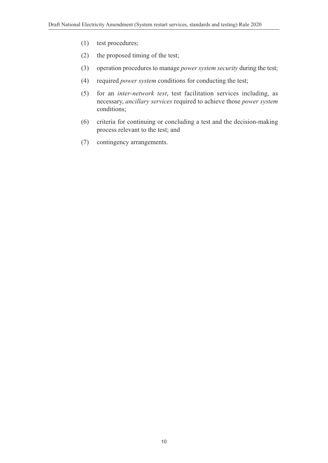- (1) test procedures;
- (2) the proposed timing of the test;
- (3) operation procedures to manage *power system security* during the test;
- (4) required *power system* conditions for conducting the test;
- (5) for an *inter-network test*, test facilitation services including, as necessary, *ancillary services* required to achieve those *power system* conditions;
- (6) criteria for continuing or concluding a test and the decision-making process relevant to the test; and
- (7) contingency arrangements.